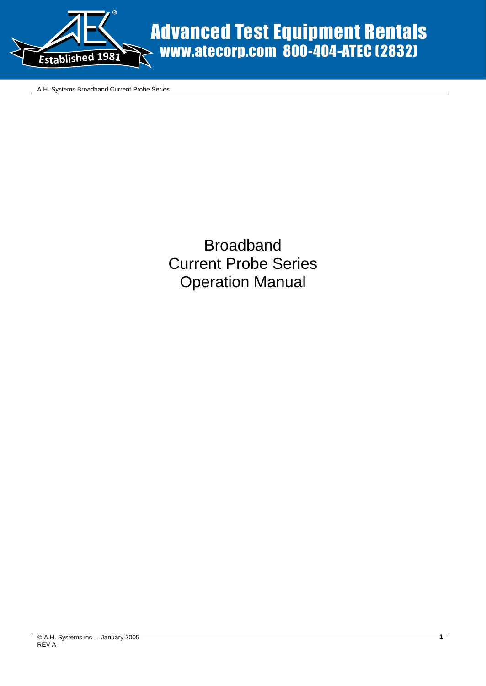

Advanced Test Equipment Rentals www.atecorp.com 800-404-ATEC (2832)

A.H. Systems Broadband Current Probe Series

Broadband Current Probe Series Operation Manual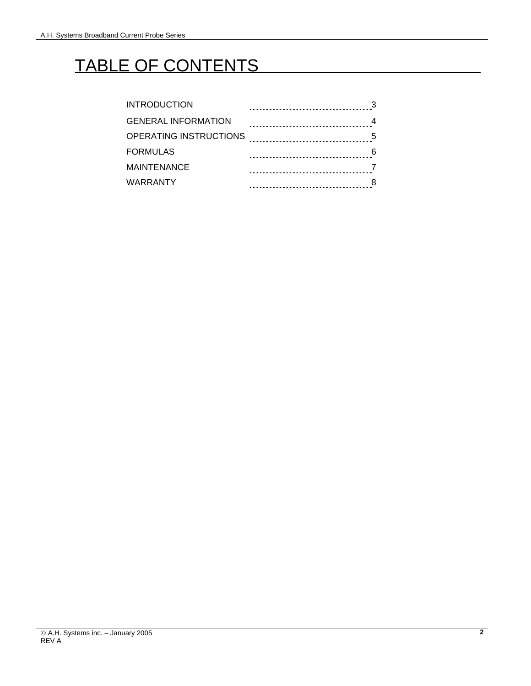### TABLE OF CONTENTS

| INTRODUCTION           |       |
|------------------------|-------|
| GENERAL INFORMATION    |       |
| OPERATING INSTRUCTIONS | 5     |
| <b>FORMULAS</b>        | 6<br> |
| MAINTENANCE            |       |
| WARRANTY               |       |
|                        |       |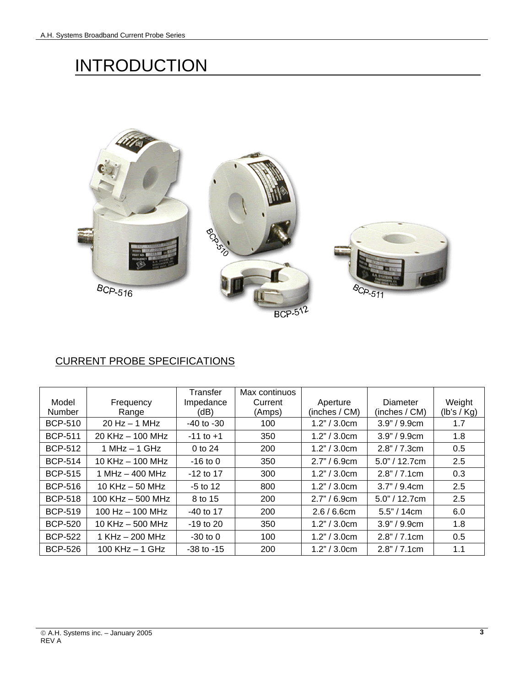## **INTRODUCTION**



### CURRENT PROBE SPECIFICATIONS

|                |                      | Transfer       | Max continuos |               |                  |             |
|----------------|----------------------|----------------|---------------|---------------|------------------|-------------|
| Model          | Frequency            | Impedance      | Current       | Aperture      | <b>Diameter</b>  | Weight      |
| <b>Number</b>  | Range                | (dB)           | (Amps)        | (inches / CM) | (inches / CM)    | (lb's / Kg) |
| <b>BCP-510</b> | $20$ Hz $-$ 1 MHz    | $-40$ to $-30$ | 100           | 1.2" / 3.0cm  | 3.9" / 9.9cm     | 1.7         |
| <b>BCP-511</b> | $20$ KHz $-$ 100 MHz | $-11$ to $+1$  | 350           | 1.2" / 3.0cm  | 3.9" / 9.9cm     | 1.8         |
| <b>BCP-512</b> | 1 MHz $-$ 1 GHz      | $0$ to 24      | 200           | 1.2" / 3.0cm  | 2.8" / 7.3cm     | 0.5         |
| <b>BCP-514</b> | $10$ KHz $-$ 100 MHz | $-16$ to 0     | 350           | 2.7" / 6.9cm  | $5.0$ " / 12.7cm | 2.5         |
| <b>BCP-515</b> | $1 MHz - 400 MHz$    | $-12$ to 17    | 300           | 1.2" / 3.0cm  | 2.8" / 7.1cm     | 0.3         |
| <b>BCP-516</b> | 10 KHz $-$ 50 MHz    | $-5$ to 12     | 800           | 1.2" / 3.0cm  | 3.7" / 9.4cm     | 2.5         |
| <b>BCP-518</b> | 100 KHz $-$ 500 MHz  | 8 to 15        | 200           | 2.7" / 6.9cm  | $5.0$ " / 12.7cm | 2.5         |
| <b>BCP-519</b> | 100 Hz $-$ 100 MHz   | -40 to 17      | 200           | 2.6/6.6cm     | $5.5$ " / 14cm   | 6.0         |
| <b>BCP-520</b> | 10 KHz $-$ 500 MHz   | $-19$ to 20    | 350           | 1.2" / 3.0cm  | 3.9" / 9.9cm     | 1.8         |
| <b>BCP-522</b> | $1$ KHz $-$ 200 MHz  | $-30$ to $0$   | 100           | 1.2" / 3.0cm  | 2.8" / 7.1cm     | 0.5         |
| <b>BCP-526</b> | 100 KHz $-$ 1 GHz    | $-38$ to $-15$ | 200           | 1.2" / 3.0cm  | 2.8" / 7.1cm     | 1.1         |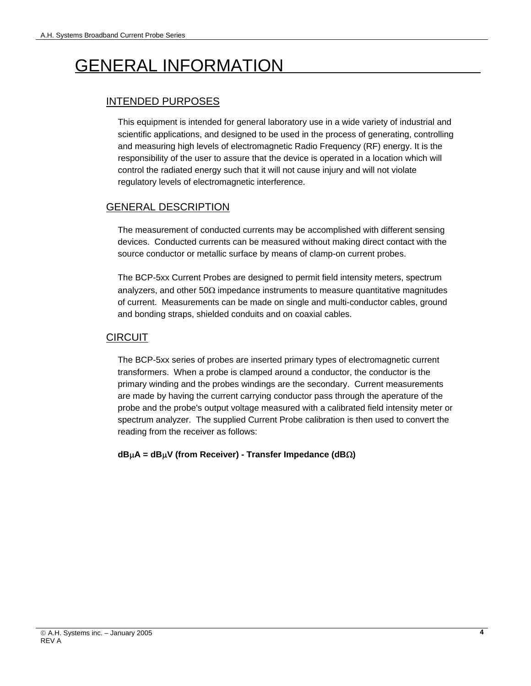# GENERAL INFORMATION

### INTENDED PURPOSES

This equipment is intended for general laboratory use in a wide variety of industrial and scientific applications, and designed to be used in the process of generating, controlling and measuring high levels of electromagnetic Radio Frequency (RF) energy. It is the responsibility of the user to assure that the device is operated in a location which will control the radiated energy such that it will not cause injury and will not violate regulatory levels of electromagnetic interference.

#### GENERAL DESCRIPTION

The measurement of conducted currents may be accomplished with different sensing devices. Conducted currents can be measured without making direct contact with the source conductor or metallic surface by means of clamp-on current probes.

The BCP-5xx Current Probes are designed to permit field intensity meters, spectrum analyzers, and other  $50\Omega$  impedance instruments to measure quantitative magnitudes of current. Measurements can be made on single and multi-conductor cables, ground and bonding straps, shielded conduits and on coaxial cables.

#### CIRCUIT

The BCP-5xx series of probes are inserted primary types of electromagnetic current transformers. When a probe is clamped around a conductor, the conductor is the primary winding and the probes windings are the secondary. Current measurements are made by having the current carrying conductor pass through the aperature of the probe and the probe's output voltage measured with a calibrated field intensity meter or spectrum analyzer. The supplied Current Probe calibration is then used to convert the reading from the receiver as follows:

**dB**µ**A = dB**µ**V (from Receiver) - Transfer Impedance (dB**Ω**)**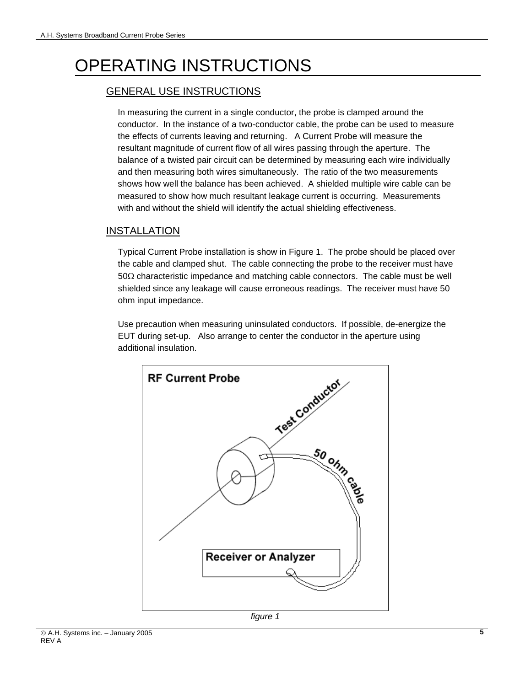# OPERATING INSTRUCTIONS

### GENERAL USE INSTRUCTIONS

In measuring the current in a single conductor, the probe is clamped around the conductor. In the instance of a two-conductor cable, the probe can be used to measure the effects of currents leaving and returning. A Current Probe will measure the resultant magnitude of current flow of all wires passing through the aperture. The balance of a twisted pair circuit can be determined by measuring each wire individually and then measuring both wires simultaneously. The ratio of the two measurements shows how well the balance has been achieved. A shielded multiple wire cable can be measured to show how much resultant leakage current is occurring. Measurements with and without the shield will identify the actual shielding effectiveness.

#### INSTALLATION

Typical Current Probe installation is show in Figure 1. The probe should be placed over the cable and clamped shut. The cable connecting the probe to the receiver must have 50Ω characteristic impedance and matching cable connectors. The cable must be well shielded since any leakage will cause erroneous readings. The receiver must have 50 ohm input impedance.

Use precaution when measuring uninsulated conductors. If possible, de-energize the EUT during set-up. Also arrange to center the conductor in the aperture using additional insulation.

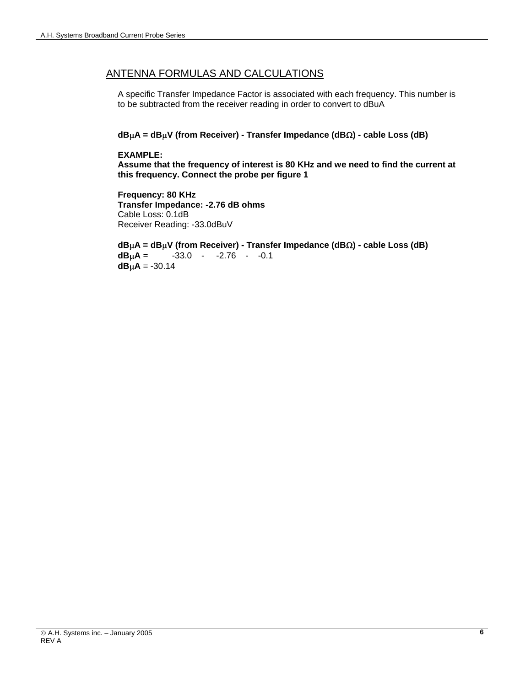#### ANTENNA FORMULAS AND CALCULATIONS

A specific Transfer Impedance Factor is associated with each frequency. This number is to be subtracted from the receiver reading in order to convert to dBuA

#### **dB**µ**A = dB**µ**V (from Receiver) - Transfer Impedance (dB**Ω**) - cable Loss (dB)**

#### **EXAMPLE:**

**Assume that the frequency of interest is 80 KHz and we need to find the current at this frequency. Connect the probe per figure 1** 

**Frequency: 80 KHz Transfer Impedance: -2.76 dB ohms**  Cable Loss: 0.1dB Receiver Reading: -33.0dBuV

**dB**µ**A = dB**µ**V (from Receiver) - Transfer Impedance (dB**Ω**) - cable Loss (dB) dB<sub>u</sub>A** =  $-33.0 - 2.76 - 0.1$ **dB** $\mu$ **A** = -30.14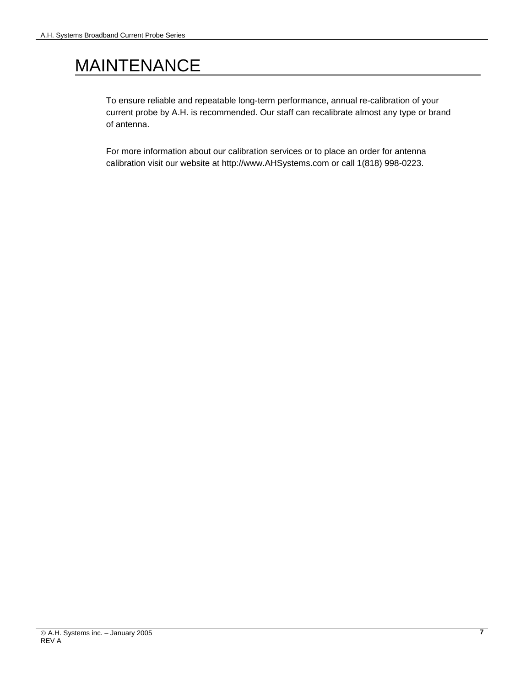## MAINTENANCE

To ensure reliable and repeatable long-term performance, annual re-calibration of your current probe by A.H. is recommended. Our staff can recalibrate almost any type or brand of antenna.

For more information about our calibration services or to place an order for antenna calibration visit our website at http://www.AHSystems.com or call 1(818) 998-0223.